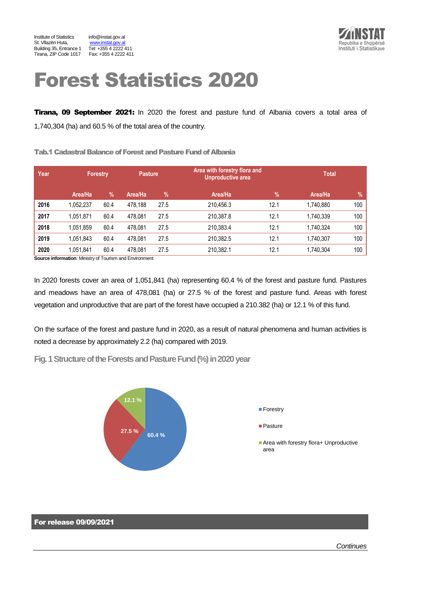

# Forest Statistics 2020

Tirana, 09 September 2021: In 2020 the forest and pasture fund of Albania covers a total area of 1,740,304 (ha) and 60.5 % of the total area of the country.

Tab.1 Cadastral Balance of Forest and Pasture Fund of Albania

| Year | <b>Forestry</b> |      | <b>Pasture</b> |      | Area with forestry flora and<br><b>Unproductive area</b> | <b>Total</b>  |           |      |
|------|-----------------|------|----------------|------|----------------------------------------------------------|---------------|-----------|------|
|      | Area/Ha         | %    | Area/Ha        | %    | Area/Ha                                                  | $\frac{9}{6}$ | Area/Ha   | $\%$ |
| 2016 | 1,052,237       | 60.4 | 478.188        | 27.5 | 210.456.3                                                | 12.1          | 1.740.880 | 100  |
| 2017 | 1,051,871       | 60.4 | 478,081        | 27.5 | 210.387.8                                                | 12.1          | 1,740,339 | 100  |
| 2018 | 1,051,859       | 60.4 | 478.081        | 27.5 | 210.383.4                                                | 12.1          | 1.740.324 | 100  |
| 2019 | 1,051,843       | 60.4 | 478.081        | 27.5 | 210.382.5                                                | 12.1          | 1.740.307 | 100  |
| 2020 | 1,051,841<br>.  | 60.4 | 478.081        | 27.5 | 210.382.1                                                | 12.1          | 1.740.304 | 100  |

**Source information**: Ministry of Tourism and Environment

In 2020 forests cover an area of 1,051,841 (ha) representing 60.4 % of the forest and pasture fund. Pastures and meadows have an area of 478,081 (ha) or 27.5 % of the forest and pasture fund. Areas with forest vegetation and unproductive that are part of the forest have occupied a 210.382 (ha) or 12.1 % of this fund.

On the surface of the forest and pasture fund in 2020, as a result of natural phenomena and human activities is noted a decrease by approximately 2.2 (ha) compared with 2019.

**Fig. 1 Structure of the Forests and Pasture Fund (%) in 2020 year** 



### For release 09/09/2021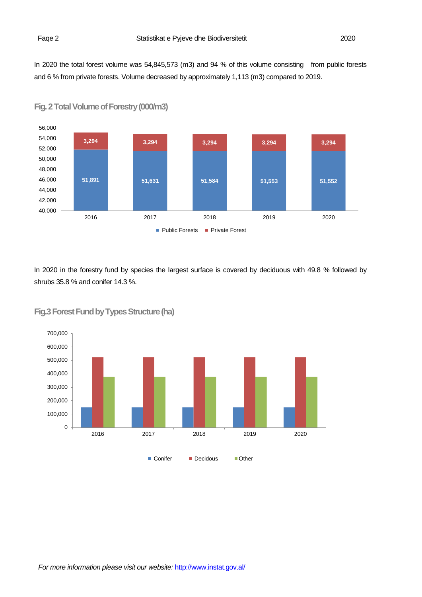In 2020 the total forest volume was 54,845,573 (m3) and 94 % of this volume consisting from public forests and 6 % from private forests. Volume decreased by approximately 1,113 (m3) compared to 2019.





In 2020 in the forestry fund by species the largest surface is covered by deciduous with 49.8 % followed by shrubs 35.8 % and conifer 14.3 %.



**Fig.3 Forest Fund by Types Structure (ha)**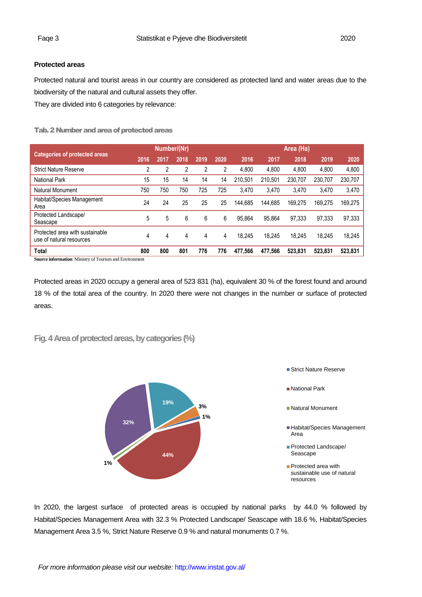## **Protected areas**

Protected natural and tourist areas in our country are considered as protected land and water areas due to the biodiversity of the natural and cultural assets they offer.

They are divided into 6 categories by relevance:

Tab. 2 Number and area of protected areas

|                                                             | Number/(Nr) |      |      |      | Area (Ha) |         |         |         |         |         |
|-------------------------------------------------------------|-------------|------|------|------|-----------|---------|---------|---------|---------|---------|
| <b>Categories of protected areas</b>                        | 2016        | 2017 | 2018 | 2019 | 2020      | 2016    | 2017    | 2018    | 2019    | 2020    |
| <b>Strict Nature Reserve</b>                                | 2           | 2    | 2    | 2    | 2         | 4,800   | 4,800   | 4,800   | 4,800   | 4,800   |
| National Park                                               | 15          | 15   | 14   | 14   | 14        | 210.501 | 210.501 | 230.707 | 230.707 | 230,707 |
| Natural Monument                                            | 750         | 750  | 750  | 725  | 725       | 3.470   | 3.470   | 3.470   | 3,470   | 3,470   |
| Habitat/Species Management<br>Area                          | 24          | 24   | 25   | 25   | 25        | 144.685 | 144.685 | 169.275 | 169.275 | 169,275 |
| Protected Landscape/<br>Seascape                            | 5           | 5    | 6    | 6    | 6         | 95.864  | 95.864  | 97.333  | 97.333  | 97,333  |
| Protected area with sustainable<br>use of natural resources | 4           | 4    | 4    | 4    | 4         | 18.245  | 18.245  | 18.245  | 18.245  | 18,245  |
| <b>Total</b>                                                | 800         | 800  | 801  | 776  | 776       | 477.566 | 477,566 | 523.831 | 523,831 | 523,831 |

**Source information**: Ministry of Tourism and Environment

Protected areas in 2020 occupy a general area of 523 831 (ha), equivalent 30 % of the forest found and around 18 % of the total area of the country. In 2020 there were not changes in the number or surface of protected areas.

**Fig. 4 Area of protected areas, by categories(%)**



In 2020, the largest surface of protected areas is occupied by national parks by 44.0 % followed by Habitat/Species Management Area with 32.3 % Protected Landscape/ Seascape with 18.6 %, Habitat/Species Management Area 3.5 %, Strict Nature Reserve 0.9 % and natural monuments 0.7 %.